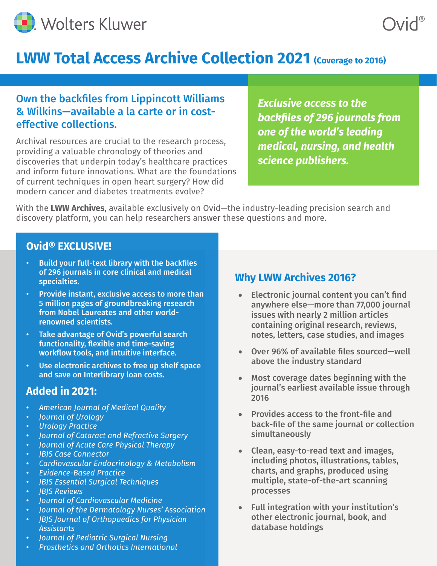

# **LWW Total Access Archive Collection 2021 (Coverage to 2016)**

## Own the backfiles from Lippincott Williams & Wilkins—available a la carte or in costeffective collections.

Archival resources are crucial to the research process, providing a valuable chronology of theories and discoveries that underpin today's healthcare practices and inform future innovations. What are the foundations of current techniques in open heart surgery? How did modern cancer and diabetes treatments evolve?

*Exclusive access to the backfiles of 296 journals from one of the world's leading medical, nursing, and health science publishers.*

With the **LWW Archives**, available exclusively on Ovid—the industry-leading precision search and discovery platform, you can help researchers answer these questions and more.

#### **Ovid® EXCLUSIVE!**

- Build your full-text library with the backfiles of 296 journals in core clinical and medical specialties.
- Provide instant, exclusive access to more than 5 million pages of groundbreaking research from Nobel Laureates and other worldrenowned scientists.
- Take advantage of Ovid's powerful search functionality, flexible and time-saving workflow tools, and intuitive interface.
- Use electronic archives to free up shelf space and save on Interlibrary loan costs.

#### **Added in 2021:**

- *American Journal of Medical Quality*
- *Journal of Urology*
- *Urology Practice*
- *Journal of Cataract and Refractive Surgery*
- *Journal of Acute Care Physical Therapy*
- *JBJS Case Connector*
- *Cardiovascular Endocrinology & Metabolism*
- *Evidence-Based Practice*
- *JBJS Essential Surgical Techniques*
- *JBJS Reviews*
- *Journal of Cardiovascular Medicine*
- *Journal of the Dermatology Nurses' Association*
- *JBJS Journal of Orthopaedics for Physician Assistants*
- *Journal of Pediatric Surgical Nursing*
- *Prosthetics and Orthotics International*

## **Why LWW Archives 2016?**

- Electronic journal content you can't find anywhere else—more than 77,000 journal issues with nearly 2 million articles containing original research, reviews, notes, letters, case studies, and images
- • Over 96% of available files sourced—well above the industry standard
- • Most coverage dates beginning with the journal's earliest available issue through 2016
- • Provides access to the front-file and back-file of the same journal or collection simultaneously
- Clean, easy-to-read text and images, including photos, illustrations, tables, charts, and graphs, produced using multiple, state-of-the-art scanning processes
- Full integration with your institution's other electronic journal, book, and database holdings

Ovid®